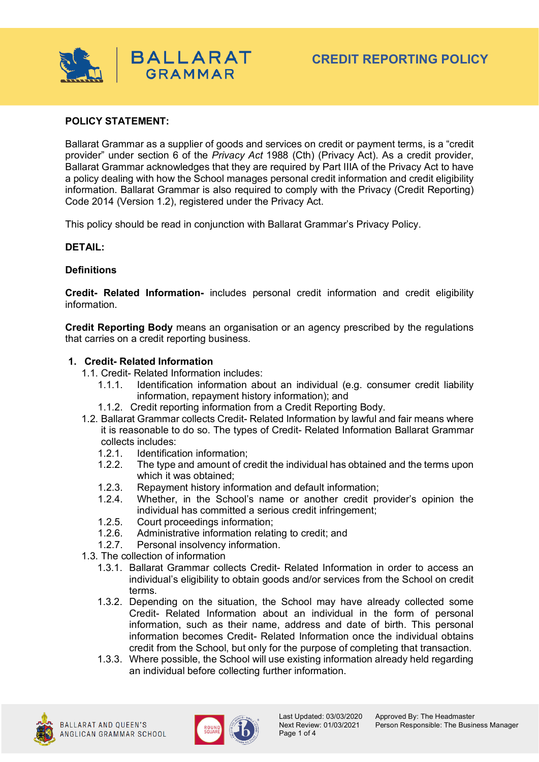

### **POLICY STATEMENT:**

Ballarat Grammar as a supplier of goods and services on credit or payment terms, is a "credit provider" under section 6 of the *Privacy Act* 1988 (Cth) (Privacy Act). As a credit provider, Ballarat Grammar acknowledges that they are required by Part IIIA of the Privacy Act to have a policy dealing with how the School manages personal credit information and credit eligibility information. Ballarat Grammar is also required to comply with the Privacy (Credit Reporting) Code 2014 (Version 1.2), registered under the Privacy Act.

This policy should be read in conjunction with Ballarat Grammar's Privacy Policy.

### **DETAIL:**

### **Definitions**

**Credit- Related Information-** includes personal credit information and credit eligibility information.

**Credit Reporting Body** means an organisation or an agency prescribed by the regulations that carries on a credit reporting business.

#### **1. Credit- Related Information**

- 1.1. Credit- Related Information includes:
	- 1.1.1. Identification information about an individual (e.g. consumer credit liability information, repayment history information); and
	- 1.1.2. Credit reporting information from a Credit Reporting Body.
- 1.2. Ballarat Grammar collects Credit- Related Information by lawful and fair means where it is reasonable to do so. The types of Credit- Related Information Ballarat Grammar collects includes:
	- 1.2.1. Identification information;
	- 1.2.2. The type and amount of credit the individual has obtained and the terms upon which it was obtained;
	- 1.2.3. Repayment history information and default information;
	- 1.2.4. Whether, in the School's name or another credit provider's opinion the individual has committed a serious credit infringement;
	- 1.2.5. Court proceedings information;
	- 1.2.6. Administrative information relating to credit; and
	- 1.2.7. Personal insolvency information.
- 1.3. The collection of information
	- 1.3.1. Ballarat Grammar collects Credit- Related Information in order to access an individual's eligibility to obtain goods and/or services from the School on credit terms.
	- 1.3.2. Depending on the situation, the School may have already collected some Credit- Related Information about an individual in the form of personal information, such as their name, address and date of birth. This personal information becomes Credit- Related Information once the individual obtains credit from the School, but only for the purpose of completing that transaction.
	- 1.3.3. Where possible, the School will use existing information already held regarding an individual before collecting further information.



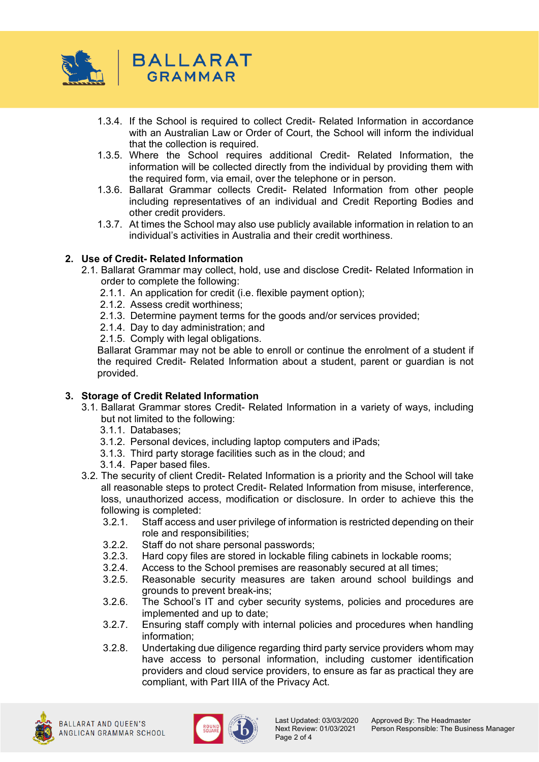

- 1.3.4. If the School is required to collect Credit- Related Information in accordance with an Australian Law or Order of Court, the School will inform the individual that the collection is required.
- 1.3.5. Where the School requires additional Credit- Related Information, the information will be collected directly from the individual by providing them with the required form, via email, over the telephone or in person.
- 1.3.6. Ballarat Grammar collects Credit- Related Information from other people including representatives of an individual and Credit Reporting Bodies and other credit providers.
- 1.3.7. At times the School may also use publicly available information in relation to an individual's activities in Australia and their credit worthiness.

# **2. Use of Credit- Related Information**

- 2.1. Ballarat Grammar may collect, hold, use and disclose Credit- Related Information in order to complete the following:
	- 2.1.1. An application for credit (i.e. flexible payment option);
	- 2.1.2. Assess credit worthiness;
	- 2.1.3. Determine payment terms for the goods and/or services provided;
	- 2.1.4. Day to day administration; and
	- 2.1.5. Comply with legal obligations.

Ballarat Grammar may not be able to enroll or continue the enrolment of a student if the required Credit- Related Information about a student, parent or guardian is not provided.

#### **3. Storage of Credit Related Information**

- 3.1. Ballarat Grammar stores Credit- Related Information in a variety of ways, including but not limited to the following:
	- 3.1.1. Databases;
	- 3.1.2. Personal devices, including laptop computers and iPads;
	- 3.1.3. Third party storage facilities such as in the cloud; and
	- 3.1.4. Paper based files.
- 3.2. The security of client Credit- Related Information is a priority and the School will take all reasonable steps to protect Credit- Related Information from misuse, interference, loss, unauthorized access, modification or disclosure. In order to achieve this the following is completed:
	- 3.2.1. Staff access and user privilege of information is restricted depending on their role and responsibilities;
	- 3.2.2. Staff do not share personal passwords;
	- 3.2.3. Hard copy files are stored in lockable filing cabinets in lockable rooms;
	- 3.2.4. Access to the School premises are reasonably secured at all times;
	- 3.2.5. Reasonable security measures are taken around school buildings and grounds to prevent break-ins;
	- 3.2.6. The School's IT and cyber security systems, policies and procedures are implemented and up to date;
	- 3.2.7. Ensuring staff comply with internal policies and procedures when handling information;
	- 3.2.8. Undertaking due diligence regarding third party service providers whom may have access to personal information, including customer identification providers and cloud service providers, to ensure as far as practical they are compliant, with Part IIIA of the Privacy Act.



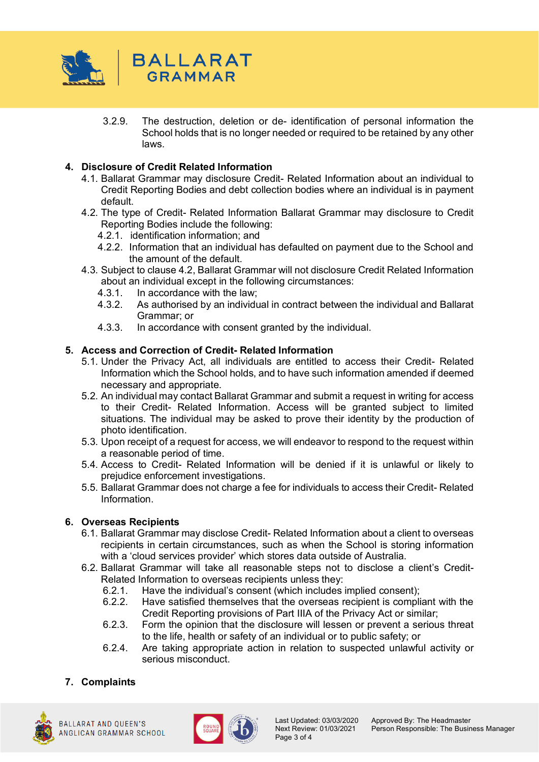

3.2.9. The destruction, deletion or de- identification of personal information the School holds that is no longer needed or required to be retained by any other laws.

# **4. Disclosure of Credit Related Information**

- 4.1. Ballarat Grammar may disclosure Credit- Related Information about an individual to Credit Reporting Bodies and debt collection bodies where an individual is in payment default.
- 4.2. The type of Credit- Related Information Ballarat Grammar may disclosure to Credit Reporting Bodies include the following:
	- 4.2.1. identification information; and
	- 4.2.2. Information that an individual has defaulted on payment due to the School and the amount of the default.
- 4.3. Subject to clause 4.2, Ballarat Grammar will not disclosure Credit Related Information about an individual except in the following circumstances:
	- 4.3.1. In accordance with the law;
	- 4.3.2. As authorised by an individual in contract between the individual and Ballarat Grammar; or
	- 4.3.3. In accordance with consent granted by the individual.

# **5. Access and Correction of Credit- Related Information**

- 5.1. Under the Privacy Act, all individuals are entitled to access their Credit- Related Information which the School holds, and to have such information amended if deemed necessary and appropriate.
- 5.2. An individual may contact Ballarat Grammar and submit a request in writing for access to their Credit- Related Information. Access will be granted subject to limited situations. The individual may be asked to prove their identity by the production of photo identification.
- 5.3. Upon receipt of a request for access, we will endeavor to respond to the request within a reasonable period of time.
- 5.4. Access to Credit- Related Information will be denied if it is unlawful or likely to prejudice enforcement investigations.
- 5.5. Ballarat Grammar does not charge a fee for individuals to access their Credit- Related Information.

# **6. Overseas Recipients**

- 6.1. Ballarat Grammar may disclose Credit- Related Information about a client to overseas recipients in certain circumstances, such as when the School is storing information with a 'cloud services provider' which stores data outside of Australia.
- 6.2. Ballarat Grammar will take all reasonable steps not to disclose a client's Credit-Related Information to overseas recipients unless they:<br>6.2.1 Have the individual's consent (which includes
	- Have the individual's consent (which includes implied consent);
	- 6.2.2. Have satisfied themselves that the overseas recipient is compliant with the Credit Reporting provisions of Part IIIA of the Privacy Act or similar;
	- 6.2.3. Form the opinion that the disclosure will lessen or prevent a serious threat to the life, health or safety of an individual or to public safety; or
	- 6.2.4. Are taking appropriate action in relation to suspected unlawful activity or serious misconduct.

# **7. Complaints**